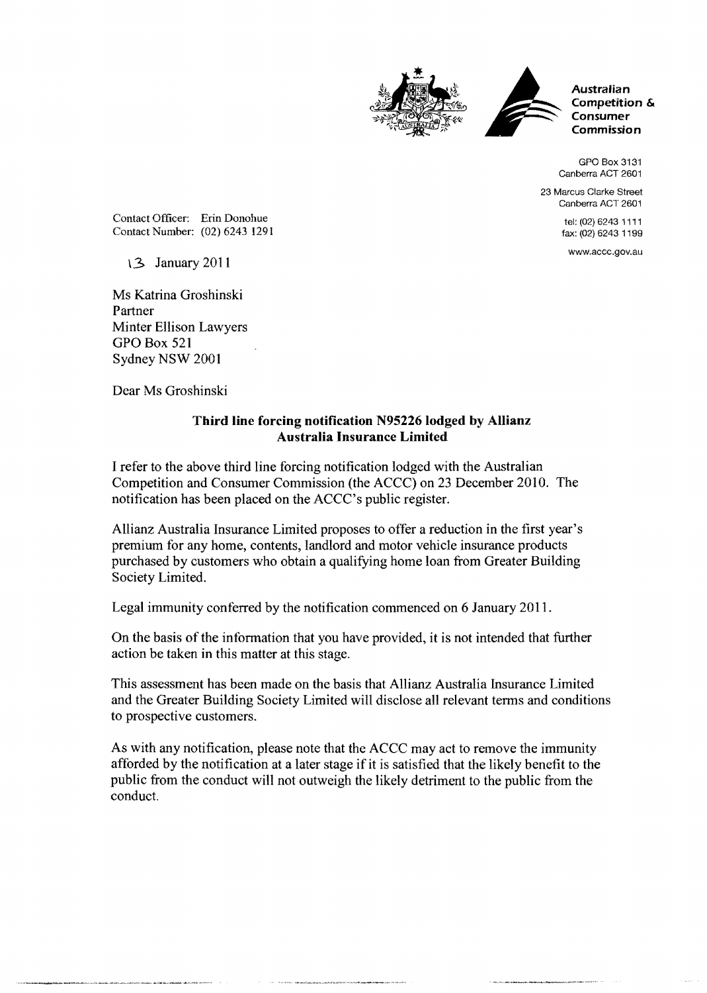



**Australian Competition & Consumer Commission** 

GPO Box 3131 Canberra ACT 2601

23 Marcus Clarke Street Canberra ACT 2601

> tel: (02) 6243 1111 fax: (02) 6243 1199

www.accc.gov.au

Contact Officer: Erin Donohue Contact Number: (02) 6243 1291

\3 January 2011

Ms Katrina Groshinski Partner Minter Ellison Lawyers GPO Box 521 Sydney NSW 2001

Dear Ms Groshinski

## **Third line forcing notification N95226 lodged by Allianz Australia Insurance Limited**

I refer to the above third line forcing notification lodged with the Australian Competition and Consumer Commission (the ACCC) on 23 December 2010. The notification has been placed on the ACCC's public register.

Allianz Australia Insurance Limited proposes to offer a reduction in the first year's premium for any home, contents, landlord and motor vehicle insurance products purchased by customers who obtain a qualifying home loan from Greater Building Society Limited.

Legal immunity conferred by the notification commenced on 6 January 2011.

On the basis of the information that you have provided, it is not intended that further action be taken in this matter at this stage.

This assessment has been made on the basis that Allianz Australia Insurance Limited and the Greater Building Society Limited will disclose all relevant terms and conditions to prospective customers.

As with any notification, please note that the ACCC may act to remove the immunity afforded by the notification at a later stage if it is satisfied that the likely benefit to the public from the conduct will not outweigh the likely detriment to the public from the conduct.